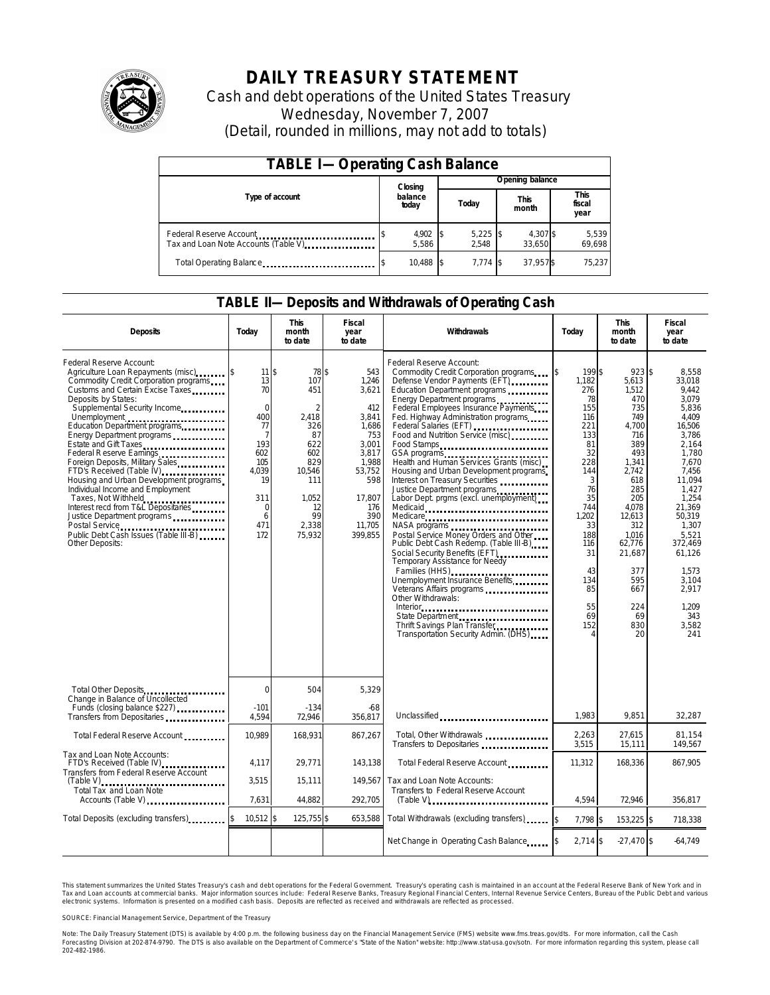

# **DAILY TREASURY STATEMENT**

Cash and debt operations of the United States Treasury Wednesday, November 7, 2007 (Detail, rounded in millions, may not add to totals)

| <b>TABLE I-Operating Cash Balance</b>                            |                   |  |                     |                      |                               |                 |  |  |  |
|------------------------------------------------------------------|-------------------|--|---------------------|----------------------|-------------------------------|-----------------|--|--|--|
|                                                                  | Closing           |  |                     |                      |                               | Opening balance |  |  |  |
| Type of account                                                  | balance<br>today  |  | Today               | <b>This</b><br>month | <b>This</b><br>fiscal<br>year |                 |  |  |  |
| Federal Reserve Account<br>Tax and Loan Note Accounts (Table V). | 4,902 \$<br>5.586 |  | $5,225$ \$<br>2.548 | 4,307 \$<br>33.650   | 5,539<br>69,698               |                 |  |  |  |
| Total Operating Balance                                          | 10,488 \$         |  | $7.774$ S           | 37,957\$             | 75.237                        |                 |  |  |  |

### **TABLE II—Deposits and Withdrawals of Operating Cash**

| <b>Deposits</b>                                                                                                                                                                                                                                                                                                                                                                                                                                                                                                                                                                                                                            | Today                                                                                                                                     | <b>This</b><br>month<br>to date                                                                                                           | Fiscal<br>year<br>to date                                                                                                                      | Withdrawals                                                                                                                                                                                                                                                                                                                                                                                                                                                                                                                                                                                                                                                                                                                                                                                                                                                                                                                                                                        | Today                                                                                                                                                                                    | <b>This</b><br>month<br>to date                                                                                                                                                                                            | <b>Fiscal</b><br>year<br>to date                                                                                                                                                                                                                             |
|--------------------------------------------------------------------------------------------------------------------------------------------------------------------------------------------------------------------------------------------------------------------------------------------------------------------------------------------------------------------------------------------------------------------------------------------------------------------------------------------------------------------------------------------------------------------------------------------------------------------------------------------|-------------------------------------------------------------------------------------------------------------------------------------------|-------------------------------------------------------------------------------------------------------------------------------------------|------------------------------------------------------------------------------------------------------------------------------------------------|------------------------------------------------------------------------------------------------------------------------------------------------------------------------------------------------------------------------------------------------------------------------------------------------------------------------------------------------------------------------------------------------------------------------------------------------------------------------------------------------------------------------------------------------------------------------------------------------------------------------------------------------------------------------------------------------------------------------------------------------------------------------------------------------------------------------------------------------------------------------------------------------------------------------------------------------------------------------------------|------------------------------------------------------------------------------------------------------------------------------------------------------------------------------------------|----------------------------------------------------------------------------------------------------------------------------------------------------------------------------------------------------------------------------|--------------------------------------------------------------------------------------------------------------------------------------------------------------------------------------------------------------------------------------------------------------|
| Federal Reserve Account:<br>Commodity Credit Corporation programs<br>Customs and Certain Excise Taxes<br>Deposits by States:<br>Supplemental Security Income<br>Unemployment<br>Education Department programs<br>Energy Department programs<br>Estate and Gift Taxes<br>Federal Reserve Earnings<br>Foreign Deposits, Military Sales<br>FTD's Received (Table IV) <b>FTD</b> 's Received (Table IV)<br>Housing and Urban Development programs<br>Individual Income and Employment<br>Taxes, Not Withheld<br>Interest recd from T&L Depositaries<br>Justice Department programs<br>Public Debt Cash Issues (Table III-B)<br>Other Deposits: | 11 <sup>5</sup><br>13<br>70<br>$\mathbf 0$<br>400<br>77<br>7<br>193<br>602<br>105<br>4.039<br>19<br>311<br>$\mathbf 0$<br>6<br>471<br>172 | 78 \$<br>107<br>451<br>$\overline{2}$<br>2.418<br>326<br>87<br>622<br>602<br>829<br>10,546<br>111<br>1,052<br>12<br>99<br>2.338<br>75,932 | 543<br>1,246<br>3,621<br>412<br>3,841<br>1,686<br>753<br>3.001<br>3.817<br>1,988<br>53,752<br>598<br>17,807<br>176<br>390<br>11.705<br>399.855 | Federal Reserve Account:<br>Commodity Credit Corporation programs<br>Defense Vendor Payments (EFT)<br>Education Department programs<br>Energy Department programs<br>Federal Employees Insurance Payments<br>Fed. Highway Administration programs<br>Federal Salaries (EFT)<br>Federal Salaries (EFT)<br>Food and Nutrition Service (misc)<br>Food Stamps<br>GSA programs<br>Health and Human Services Grants (misc)<br>Housing and Urban Development programs<br>Interest on Treasury Securities<br>Justice Department programs<br>Labor Dept. prgms (excl. unemployment)<br>Medicaid<br>Medicare<br>NASA programs<br>Postal Service Money Orders and Other<br>Public Debt Cash Redemp. (Table III-B)<br>Social Security Benefits (EFT)<br><br>Temporary Assistance for Needy<br>Families (HHS)<br>Unemployment Insurance Benefits<br>Veterans Affairs programs<br>Other Withdrawals:<br>State Department<br>Thrift Savings Plan Transfer<br>Transportation Security Admin. (DHS) | 199\$<br>ß.<br>1,182<br>276<br>78<br>155<br>116<br>221<br>133<br>81<br>32<br>228<br>144<br>3<br>76<br>35<br>744<br>1.202<br>33<br>188<br>116<br>31<br>43<br>134<br>85<br>55<br>69<br>152 | $923$ \$<br>5,613<br>1,512<br>470<br>735<br>749<br>4,700<br>716<br>389<br>493<br>1,341<br>2,742<br>618<br>285<br>205<br>4.078<br>12,613<br>312<br>1.016<br>62,776<br>21,687<br>377<br>595<br>667<br>224<br>69<br>830<br>20 | 8.558<br>33.018<br>9,442<br>3.079<br>5,836<br>4.409<br>16,506<br>3,786<br>2.164<br>1.780<br>7.670<br>7,456<br>11,094<br>1.427<br>1,254<br>21.369<br>50.319<br>1.307<br>5.521<br>372,469<br>61,126<br>1.573<br>3,104<br>2.917<br>1.209<br>343<br>3,582<br>241 |
| Total Other Deposits<br>Change in Balance of Uncollected                                                                                                                                                                                                                                                                                                                                                                                                                                                                                                                                                                                   | $\Omega$                                                                                                                                  | 504                                                                                                                                       | 5.329                                                                                                                                          |                                                                                                                                                                                                                                                                                                                                                                                                                                                                                                                                                                                                                                                                                                                                                                                                                                                                                                                                                                                    |                                                                                                                                                                                          |                                                                                                                                                                                                                            |                                                                                                                                                                                                                                                              |
| Funds (closing balance \$227)<br>Transfers from Depositaries                                                                                                                                                                                                                                                                                                                                                                                                                                                                                                                                                                               | $-101$<br>4,594                                                                                                                           | $-134$<br>72,946                                                                                                                          | $-68$<br>356.817                                                                                                                               | Unclassified                                                                                                                                                                                                                                                                                                                                                                                                                                                                                                                                                                                                                                                                                                                                                                                                                                                                                                                                                                       | 1,983                                                                                                                                                                                    | 9,851                                                                                                                                                                                                                      | 32,287                                                                                                                                                                                                                                                       |
| Total Federal Reserve Account                                                                                                                                                                                                                                                                                                                                                                                                                                                                                                                                                                                                              | 10,989                                                                                                                                    | 168,931                                                                                                                                   | 867,267                                                                                                                                        | Total, Other Withdrawals<br>Transfers to Depositaries                                                                                                                                                                                                                                                                                                                                                                                                                                                                                                                                                                                                                                                                                                                                                                                                                                                                                                                              | 2,263<br>3,515                                                                                                                                                                           | 27,615<br>15,111                                                                                                                                                                                                           | 81.154<br>149,567                                                                                                                                                                                                                                            |
| Tax and Loan Note Accounts:<br>FTD's Received (Table IV)<br><br>Transfers from Federal Reserve Account                                                                                                                                                                                                                                                                                                                                                                                                                                                                                                                                     | 4.117                                                                                                                                     | 29,771                                                                                                                                    | 143,138                                                                                                                                        | Total Federal Reserve Account                                                                                                                                                                                                                                                                                                                                                                                                                                                                                                                                                                                                                                                                                                                                                                                                                                                                                                                                                      | 11,312                                                                                                                                                                                   | 168,336                                                                                                                                                                                                                    | 867,905                                                                                                                                                                                                                                                      |
| $(Table V)$<br>Total Tax and Loan Note<br>Accounts (Table V)                                                                                                                                                                                                                                                                                                                                                                                                                                                                                                                                                                               | 3,515<br>7.631                                                                                                                            | 15,111<br>44.882                                                                                                                          | 149.567<br>292,705                                                                                                                             | Tax and Loan Note Accounts:<br>Transfers to Federal Reserve Account<br>$(Table V)$                                                                                                                                                                                                                                                                                                                                                                                                                                                                                                                                                                                                                                                                                                                                                                                                                                                                                                 | 4.594                                                                                                                                                                                    | 72.946                                                                                                                                                                                                                     | 356.817                                                                                                                                                                                                                                                      |
| Total Deposits (excluding transfers)                                                                                                                                                                                                                                                                                                                                                                                                                                                                                                                                                                                                       | $10,512$ \$                                                                                                                               | 125,755 \$                                                                                                                                | 653,588                                                                                                                                        | Total Withdrawals (excluding transfers)                                                                                                                                                                                                                                                                                                                                                                                                                                                                                                                                                                                                                                                                                                                                                                                                                                                                                                                                            | 7,798 \$                                                                                                                                                                                 | 153,225 \$                                                                                                                                                                                                                 | 718,338                                                                                                                                                                                                                                                      |
|                                                                                                                                                                                                                                                                                                                                                                                                                                                                                                                                                                                                                                            |                                                                                                                                           |                                                                                                                                           |                                                                                                                                                | Net Change in Operating Cash Balance                                                                                                                                                                                                                                                                                                                                                                                                                                                                                                                                                                                                                                                                                                                                                                                                                                                                                                                                               | $2,714$ \$                                                                                                                                                                               | $-27.470$ \$                                                                                                                                                                                                               | $-64.749$                                                                                                                                                                                                                                                    |

This statement summarizes the United States Treasury's cash and debt operations for the Federal Government. Treasury's operating cash is maintained in an account at the Federal Reserve Bank of New York and in Tax and Loan accounts at commercial banks. Major information sources include: Federal Reserve Banks, Treasury Regional Financial Centers, Internal Revenue Service Centers, Bureau of the Public Debt and various<br>electronic s

SOURCE: Financial Management Service, Department of the Treasury

Note: The Daily Treasury Statement (DTS) is available by 4:00 p.m. the following business day on the Financial Management Service (FMS) website www.fms.treas.gov/dts.<br>Forecasting Division at 202-874-9790. The DTS is also a 'S) is available by 4:00 p.m. the following business day on the Financial Management Service (FMS) website www.fms.treas.gov/dts. For more information, call the Cash<br>The DTS is also available on the Department of Commerce'